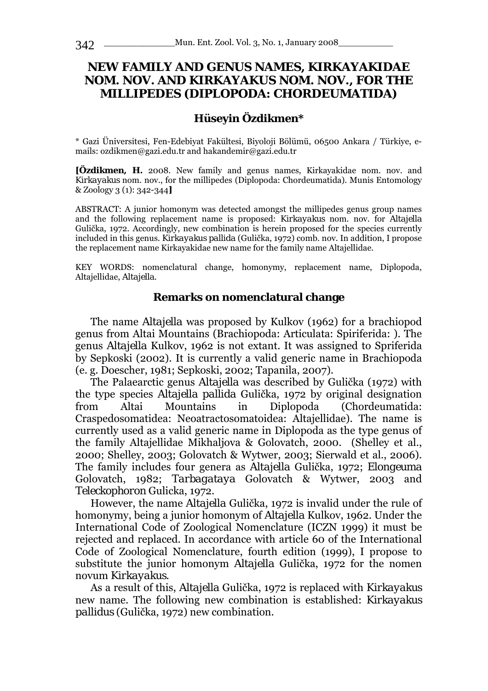# **NEW FAMILY AND GENUS NAMES, KIRKAYAKIDAE NOM. NOV. AND** *KIRKAYAKUS* **NOM. NOV., FOR THE MILLIPEDES (DIPLOPODA: CHORDEUMATIDA)**

## **Hüseyin Özdikmen\***

\* Gazi Üniversitesi, Fen-Edebiyat Fakültesi, Biyoloji Bölümü, 06500 Ankara / Türkiye, emails: ozdikmen@gazi.edu.tr and hakandemir@gazi.edu.tr

**[Özdikmen, H.** 2008. New family and genus names, Kirkayakidae nom. nov. and *Kirkayakus* nom. nov., for the millipedes (Diplopoda: Chordeumatida). Munis Entomology & Zoology 3 (1): 342-344**]** 

ABSTRACT: A junior homonym was detected amongst the millipedes genus group names and the following replacement name is proposed: *Kirkayakus* nom. nov. for *Altajella*  Gulička, 1972. Accordingly, new combination is herein proposed for the species currently included in this genus. *Kirkayakus pallida* (Gulička, 1972) comb. nov. In addition, I propose the replacement name Kirkayakidae new name for the family name Altajellidae.

KEY WORDS: nomenclatural change, homonymy, replacement name, Diplopoda, Altajellidae, *Altajella*.

#### **Remarks on nomenclatural change**

The name *Altajella* was proposed by Kulkov (1962) for a brachiopod genus from Altai Mountains (Brachiopoda: Articulata: Spiriferida: ). The genus *Altajella* Kulkov, 1962 is not extant. It was assigned to Spriferida by Sepkoski (2002). It is currently a valid generic name in Brachiopoda (e. g. Doescher, 1981; Sepkoski, 2002; Tapanila, 2007).

The Palaearctic genus *Altajella* was described by Gulička (1972) with the type species *Altajella pallida* Gulička, 1972 by original designation from Altai Mountains in Diplopoda (Chordeumatida: Craspedosomatidea: Neoatractosomatoidea: Altajellidae). The name is currently used as a valid generic name in Diplopoda as the type genus of the family Altajellidae Mikhaljova & Golovatch, 2000. (Shelley et al., 2000; Shelley, 2003; Golovatch & Wytwer, 2003; Sierwald et al., 2006). The family includes four genera as *Altajella* Gulička, 1972; *Elongeuma* Golovatch, 1982; *Tarbagataya* Golovatch & Wytwer, 2003 and *Teleckophoron* Gulicka, 1972.

However, the name *Altajella* Gulička, 1972 is invalid under the rule of homonymy, being a junior homonym of *Altajella* Kulkov, 1962. Under the International Code of Zoological Nomenclature (ICZN 1999) it must be rejected and replaced. In accordance with article 60 of the International Code of Zoological Nomenclature, fourth edition (1999), I propose to substitute the junior homonym *Altajella* Gulička, 1972 for the nomen novum *Kirkayakus*.

As a result of this, *Altajella* Gulička, 1972 is replaced with *Kirkayakus*  new name. The following new combination is established: *Kirkayakus pallidus* (Gulička, 1972) new combination.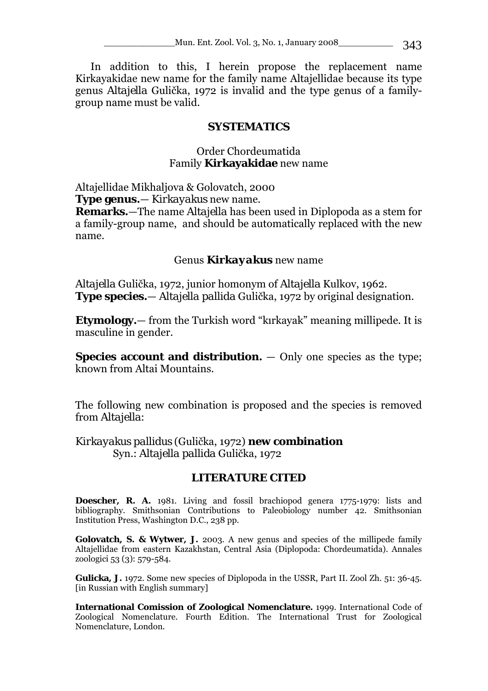In addition to this, I herein propose the replacement name Kirkayakidae new name for the family name Altajellidae because its type genus *Altajella* Gulička, 1972 is invalid and the type genus of a familygroup name must be valid.

#### **SYSTEMATICS**

## Order Chordeumatida Family **Kirkayakidae** new name

Altajellidae Mikhaljova & Golovatch, 2000

**Type genus.**— *Kirkayakus* new name.

**Remarks.**—The name *Altajella* has been used in Diplopoda as a stem for a family-group name, and should be automatically replaced with the new name.

#### Genus *Kirkayakus* new name

*Altajella* Gulička, 1972, junior homonym of *Altajella* Kulkov, 1962. **Type species.**— *Altajella pallida* Gulička, 1972 by original designation.

**Etymology.**— from the Turkish word "kırkayak" meaning millipede. It is masculine in gender.

**Species account and distribution.** — Only one species as the type; known from Altai Mountains.

The following new combination is proposed and the species is removed from *Altajella*:

## *Kirkayakus pallidus* (Gulička, 1972) **new combination** Syn.: *Altajella pallida* Gulička, 1972

# **LITERATURE CITED**

**Doescher, R. A.** 1981. Living and fossil brachiopod genera 1775-1979: lists and bibliography. Smithsonian Contributions to Paleobiology number 42. Smithsonian Institution Press, Washington D.C., 238 pp.

**Golovatch, S. & Wytwer, J.** 2003. A new genus and species of the millipede family Altajellidae from eastern Kazakhstan, Central Asia (Diplopoda: Chordeumatida). Annales zoologici 53 (3): 579-584.

Gulicka, J. 1972. Some new species of Diplopoda in the USSR, Part II. Zool Zh. 51: 36-45. [in Russian with English summary]

**International Comission of Zoological Nomenclature.** 1999. International Code of Zoological Nomenclature. Fourth Edition. The International Trust for Zoological Nomenclature, London.